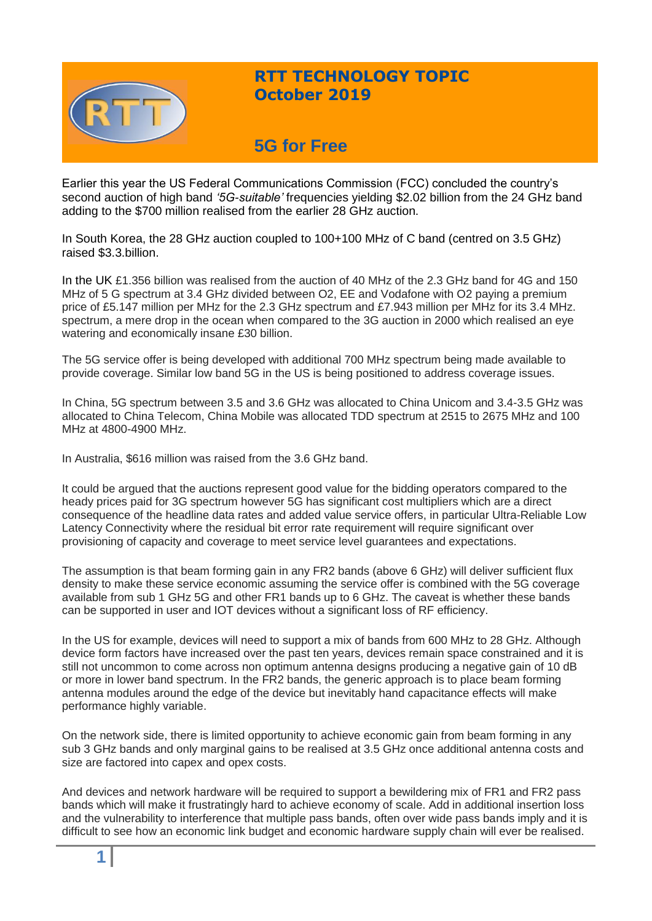

## **RTT TECHNOLOGY TOPIC October 2019**

# **5G for Free**

Earlier this year the US Federal Communications Commission (FCC) concluded the country's second auction of high band *'5G-suitable'* frequencies yielding \$2.02 billion from the 24 GHz band adding to the \$700 million realised from the earlier 28 GHz auction.

In South Korea, the 28 GHz auction coupled to 100+100 MHz of C band (centred on 3.5 GHz) raised \$3.3.billion.

In the UK £1.356 billion was realised from the auction of 40 MHz of the 2.3 GHz band for 4G and 150 MHz of 5 G spectrum at 3.4 GHz divided between O2, EE and Vodafone with O2 paying a premium price of £5.147 million per MHz for the 2.3 GHz spectrum and £7.943 million per MHz for its 3.4 MHz. spectrum, a mere drop in the ocean when compared to the 3G auction in 2000 which realised an eye watering and economically insane £30 billion.

The 5G service offer is being developed with additional 700 MHz spectrum being made available to provide coverage. Similar low band 5G in the US is being positioned to address coverage issues.

In China, 5G spectrum between 3.5 and 3.6 GHz was allocated to China Unicom and 3.4-3.5 GHz was allocated to China Telecom, China Mobile was allocated TDD spectrum at 2515 to 2675 MHz and 100 MHz at 4800-4900 MHz.

In Australia, \$616 million was raised from the 3.6 GHz band.

It could be argued that the auctions represent good value for the bidding operators compared to the heady prices paid for 3G spectrum however 5G has significant cost multipliers which are a direct consequence of the headline data rates and added value service offers, in particular Ultra-Reliable Low Latency Connectivity where the residual bit error rate requirement will require significant over provisioning of capacity and coverage to meet service level guarantees and expectations.

The assumption is that beam forming gain in any FR2 bands (above 6 GHz) will deliver sufficient flux density to make these service economic assuming the service offer is combined with the 5G coverage available from sub 1 GHz 5G and other FR1 bands up to 6 GHz. The caveat is whether these bands can be supported in user and IOT devices without a significant loss of RF efficiency.

In the US for example, devices will need to support a mix of bands from 600 MHz to 28 GHz. Although device form factors have increased over the past ten years, devices remain space constrained and it is still not uncommon to come across non optimum antenna designs producing a negative gain of 10 dB or more in lower band spectrum. In the FR2 bands, the generic approach is to place beam forming antenna modules around the edge of the device but inevitably hand capacitance effects will make performance highly variable.

On the network side, there is limited opportunity to achieve economic gain from beam forming in any sub 3 GHz bands and only marginal gains to be realised at 3.5 GHz once additional antenna costs and size are factored into capex and opex costs.

And devices and network hardware will be required to support a bewildering mix of FR1 and FR2 pass bands which will make it frustratingly hard to achieve economy of scale. Add in additional insertion loss and the vulnerability to interference that multiple pass bands, often over wide pass bands imply and it is difficult to see how an economic link budget and economic hardware supply chain will ever be realised.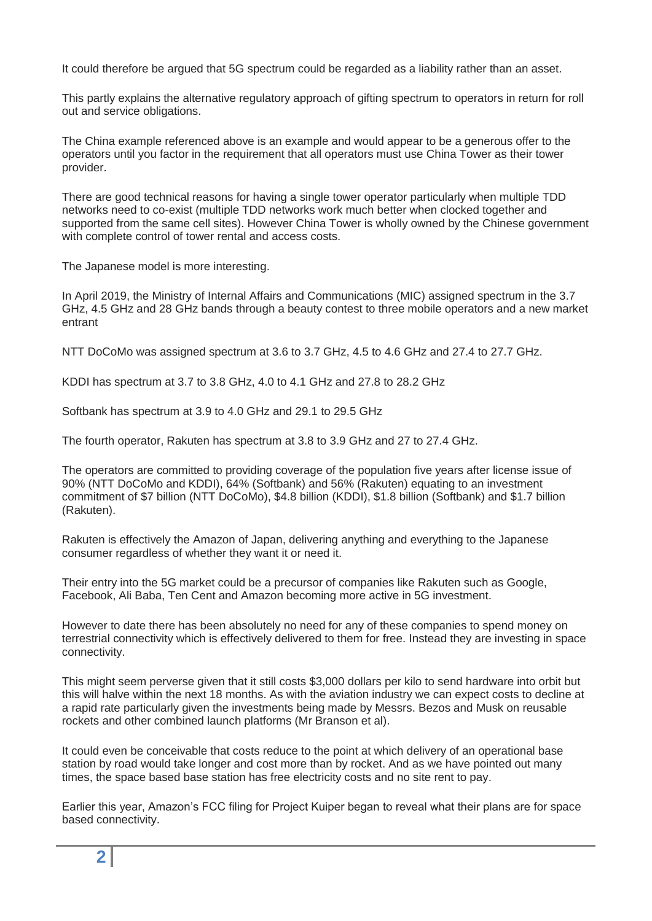It could therefore be argued that 5G spectrum could be regarded as a liability rather than an asset.

This partly explains the alternative regulatory approach of gifting spectrum to operators in return for roll out and service obligations.

The China example referenced above is an example and would appear to be a generous offer to the operators until you factor in the requirement that all operators must use China Tower as their tower provider.

There are good technical reasons for having a single tower operator particularly when multiple TDD networks need to co-exist (multiple TDD networks work much better when clocked together and supported from the same cell sites). However China Tower is wholly owned by the Chinese government with complete control of tower rental and access costs.

The Japanese model is more interesting.

In April 2019, the Ministry of Internal Affairs and Communications (MIC) assigned spectrum in the 3.7 GHz, 4.5 GHz and 28 GHz bands through a beauty contest to three mobile operators and a new market entrant

NTT DoCoMo was assigned spectrum at 3.6 to 3.7 GHz, 4.5 to 4.6 GHz and 27.4 to 27.7 GHz.

KDDI has spectrum at 3.7 to 3.8 GHz, 4.0 to 4.1 GHz and 27.8 to 28.2 GHz

Softbank has spectrum at 3.9 to 4.0 GHz and 29.1 to 29.5 GHz

The fourth operator, Rakuten has spectrum at 3.8 to 3.9 GHz and 27 to 27.4 GHz.

The operators are committed to providing coverage of the population five years after license issue of 90% (NTT DoCoMo and KDDI), 64% (Softbank) and 56% (Rakuten) equating to an investment commitment of \$7 billion (NTT DoCoMo), \$4.8 billion (KDDI), \$1.8 billion (Softbank) and \$1.7 billion (Rakuten).

Rakuten is effectively the Amazon of Japan, delivering anything and everything to the Japanese consumer regardless of whether they want it or need it.

Their entry into the 5G market could be a precursor of companies like Rakuten such as Google, Facebook, Ali Baba, Ten Cent and Amazon becoming more active in 5G investment.

However to date there has been absolutely no need for any of these companies to spend money on terrestrial connectivity which is effectively delivered to them for free. Instead they are investing in space connectivity.

This might seem perverse given that it still costs \$3,000 dollars per kilo to send hardware into orbit but this will halve within the next 18 months. As with the aviation industry we can expect costs to decline at a rapid rate particularly given the investments being made by Messrs. Bezos and Musk on reusable rockets and other combined launch platforms (Mr Branson et al).

It could even be conceivable that costs reduce to the point at which delivery of an operational base station by road would take longer and cost more than by rocket. And as we have pointed out many times, the space based base station has free electricity costs and no site rent to pay.

Earlier this year, Amazon's FCC filing for Project Kuiper began to reveal what their plans are for space based connectivity.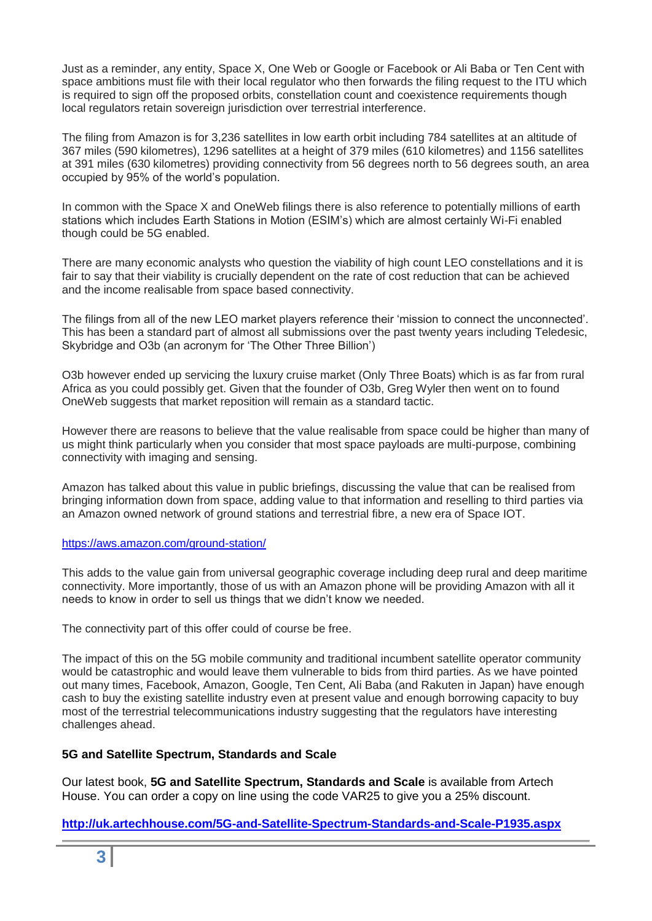Just as a reminder, any entity, Space X, One Web or Google or Facebook or Ali Baba or Ten Cent with space ambitions must file with their local regulator who then forwards the filing request to the ITU which is required to sign off the proposed orbits, constellation count and coexistence requirements though local regulators retain sovereign jurisdiction over terrestrial interference.

The filing from Amazon is for 3,236 satellites in low earth orbit including 784 satellites at an altitude of 367 miles (590 kilometres), 1296 satellites at a height of 379 miles (610 kilometres) and 1156 satellites at 391 miles (630 kilometres) providing connectivity from 56 degrees north to 56 degrees south, an area occupied by 95% of the world's population.

In common with the Space X and OneWeb filings there is also reference to potentially millions of earth stations which includes Earth Stations in Motion (ESIM's) which are almost certainly Wi-Fi enabled though could be 5G enabled.

There are many economic analysts who question the viability of high count LEO constellations and it is fair to say that their viability is crucially dependent on the rate of cost reduction that can be achieved and the income realisable from space based connectivity.

The filings from all of the new LEO market players reference their 'mission to connect the unconnected'. This has been a standard part of almost all submissions over the past twenty years including Teledesic, Skybridge and O3b (an acronym for 'The Other Three Billion')

O3b however ended up servicing the luxury cruise market (Only Three Boats) which is as far from rural Africa as you could possibly get. Given that the founder of O3b, Greg Wyler then went on to found OneWeb suggests that market reposition will remain as a standard tactic.

However there are reasons to believe that the value realisable from space could be higher than many of us might think particularly when you consider that most space payloads are multi-purpose, combining connectivity with imaging and sensing.

Amazon has talked about this value in public briefings, discussing the value that can be realised from bringing information down from space, adding value to that information and reselling to third parties via an Amazon owned network of ground stations and terrestrial fibre, a new era of Space IOT.

### <https://aws.amazon.com/ground-station/>

This adds to the value gain from universal geographic coverage including deep rural and deep maritime connectivity. More importantly, those of us with an Amazon phone will be providing Amazon with all it needs to know in order to sell us things that we didn't know we needed.

The connectivity part of this offer could of course be free.

The impact of this on the 5G mobile community and traditional incumbent satellite operator community would be catastrophic and would leave them vulnerable to bids from third parties. As we have pointed out many times, Facebook, Amazon, Google, Ten Cent, Ali Baba (and Rakuten in Japan) have enough cash to buy the existing satellite industry even at present value and enough borrowing capacity to buy most of the terrestrial telecommunications industry suggesting that the regulators have interesting challenges ahead.

### **5G and Satellite Spectrum, Standards and Scale**

Our latest book, **5G and Satellite Spectrum, Standards and Scale** is available from Artech House. You can order a copy on line using the code VAR25 to give you a 25% discount.

**<http://uk.artechhouse.com/5G-and-Satellite-Spectrum-Standards-and-Scale-P1935.aspx>**